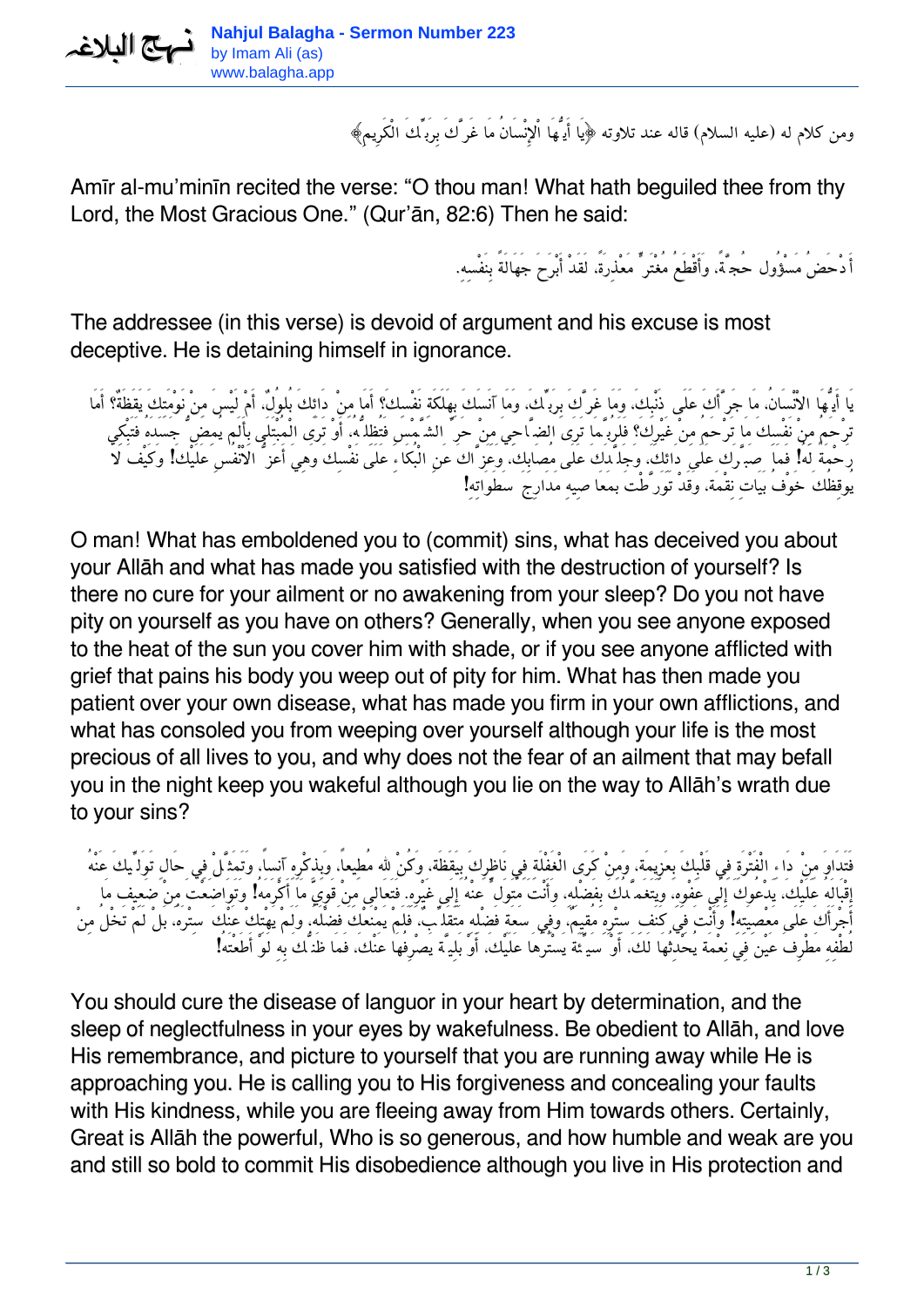*ومن كلام له (عليه السلام) قاله عند تلاوته ﴿يَا أَيُّهَا اْلإِنْسَانُ مَا غَرَّكَ بِرَبِّكَ الْكَرِيمِ﴾*

Amīr al-mu'minīn recited the verse: "O thou man! What hath beguiled thee from thy Lord, the Most Gracious One." (Qur'ān, 82:6) Then he said:

*أَدْحَضُ مَسْؤُول حُجَّة،ً وَأَقْطَعُ مُغْتَرٍّ مَعْذِرَة،ً لَقَدْ أَبْرَحَ جَهَالَةً بِنَفْسِه.ِ*

The addressee (in this verse) is devoid of argument and his excuse is most deceptive. He is detaining himself in ignorance.

*يَا أَيُّهَا الاْنْسَان،ُ مَا جَرَّأَكَ عَلَى ذَنْبِك،َ وَمَا غَرَّكَ بِرَبِّك،َ وَمَا آنَسَكَ بِهَلَكَةِ نَفْسِكَ؟ أَمَا مِنْ دَائِكَ بُلوُل،ٌ أَمْ لَيْسَ مِنْ نَوْمَتِكَ يَقَظَةٌ؟ أَمَا ترْحَمُ مِنْ نَفْسِكَ مَا تَرْحَمُ مِنْ غَيْرِكَ؟ فَلَرُبَّمَا تَرَى الضَّاحِيَ مِنْ حَرِّ الشَّمْسِ فَتُظِلُّه،ُ أَوْ تَرَى الْمُبْتَلَى بِأَلَم يُمِضُّ جَسَدَهُ فَتَبْكِي رَحْمَةً لَهُ! فَمَا صَبَّرَك عَلَى دَائِك،َ وَجَلَّدَكَ عَلَى مُصَابِك،َ وَعَزَّاكَ عَنِ الْبُكَاءِ عَلَى نَفْسِكَ وَهِيَ أَعَزُّ الاْنْفُسِ عَلَيْكَ! وَكَيْفَ لاَ يُوقِظُكَ خَوْفُ بَيَاتِ نِقْمَة، وَقَدْ تَوَرَّطْتَ بمَعَاصِيهِ مَدَارِجَ سَطَوَاتِهِ!*

O man! What has emboldened you to (commit) sins, what has deceived you about your Allāh and what has made you satisfied with the destruction of yourself? Is there no cure for your ailment or no awakening from your sleep? Do you not have pity on yourself as you have on others? Generally, when you see anyone exposed to the heat of the sun you cover him with shade, or if you see anyone afflicted with grief that pains his body you weep out of pity for him. What has then made you patient over your own disease, what has made you firm in your own afflictions, and what has consoled you from weeping over yourself although your life is the most precious of all lives to you, and why does not the fear of an ailment that may befall you in the night keep you wakeful although you lie on the way to Allāh's wrath due to your sins?

*فَتَدَاوَ مِنْ دَاءِ الْفَتْرَةِ فِي قَلْبِكَ بِعَزِيمَة، وَمِنْ كَرَى الْغَفْلَةِ فِي نَاظِرِكَ بِيَقَظَة، وَكُنْ الله مُطِيعا،ً وَبِذِكْرِهِ آنِسا،ً وَتَمَثَّلْ فِي حَالِ تَوَلِّيكَ عَنْهُ إِقْبَالَهُ عَلَيْك،َ يَدْعُوكَ إِلَى عَفْوِه،ِ وَيَتَغَمَّدُكَ بِفَضْلِه،ِ وَأَنْتَ مُتَوَلٍّ عنْهُ إِلَى غَيْرِه.ِ فَتَعَالى مِنْ قَوِيّ مَا أَكْرَمَهُ! وَتَوَاضَعْتَ مِنْ ضَعِيف مَا أَجْرَأَكَ عَلَى مَعْصِيَتِهِ! وَأَنْتَ فِي كَنَفِ سِتْرِهِ مُقيِم،ٌ وَفِي سَعَةِ فَضْلِهِ مَتَقَلِّب،ٌ فَلَمْ يَمْنَعْكَ فَضْلَه،ُ وَلَمْ يَهْتِكْ عَنْكَ سِتْرَه،ُ بَلْ لَمْ تَخْلُ مِنْ لُطْفِهِ مَطْرِفَ عَيْن فِي نِعْمَة يُحْدِثُهَا لَك،َ أَوْ سَيِّئَة يَسْتُرُهَا عَلَيْك،َ أَوْ بَلِيَّة يَصْرِفُهَا عَنْك،َ فَمَا ظَنُّكَ بِهِ لَوْ أَطَعْتَهُ!*

You should cure the disease of languor in your heart by determination, and the sleep of neglectfulness in your eyes by wakefulness. Be obedient to Allāh, and love His remembrance, and picture to yourself that you are running away while He is approaching you. He is calling you to His forgiveness and concealing your faults with His kindness, while you are fleeing away from Him towards others. Certainly, Great is Allāh the powerful, Who is so generous, and how humble and weak are you and still so bold to commit His disobedience although you live in His protection and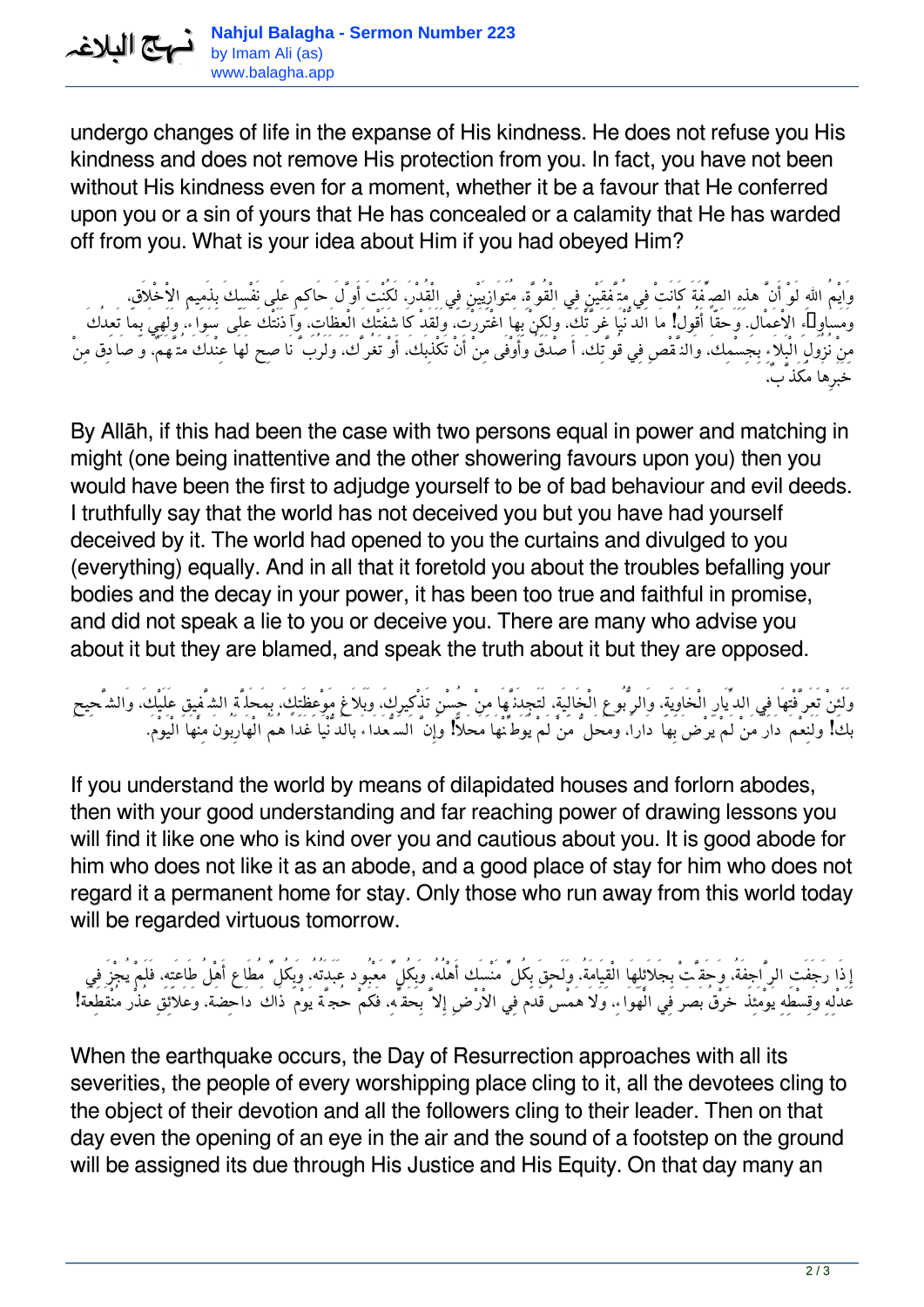يم البلاغہ

undergo changes of life in the expanse of His kindness. He does not refuse you His kindness and does not remove His protection from you. In fact, you have not been without His kindness even for a moment, whether it be a favour that He conferred upon you or a sin of yours that He has concealed or a calamity that He has warded off from you. What is your idea about Him if you had obeyed Him?

*وَايْمُ االلهِ لَوْ أَنَّ هذِهِ الصِّفَةَ كَانَتْ فِي مُتَّفِقَيْنِ فِي الْقُوَّة،ِ مُتَوَازِيَيْنِ فِي الْقُدْر،َ لَكُنْتَ أَوَّلَ حَاكِم عَلى نَفْسِكَ بِذَمِيمِ الاْخْلاَق،ِ وَمَسَاوِىءِ الاْعَمْال.ِ وَحَقّاً أَقُولُ! مَا الدُّنْيَا غَرَّتْك،َ وَلكِنْ بِهَا اغْتَرَرْت،َ وَلَقَدْ كَاشَفَتْكَ الْعِظَات،ِ وَآذَنَتْكَ عَلَى سَوَاء، وَلَهِيَ بِمَا تَعِدُكَ مِنْ نُزُولِ الْبَلاَءِ بِجِسْمِك،َ وَالنَّقْصِ فِي قُوَّتِك،َ أَصْدَقُ وَأَوْفَى مِنْ أَنْ تَكْذِبَك،َ أَوْ تَغُرَّك،َ وَلَرُبَّ نَاصِح لَهَا عِنْدَكَ مُتَّهَم،ٌ وَصَادِق مِنْ خَبَرِهَا مُكَذَّب،ٌ*

By Allāh, if this had been the case with two persons equal in power and matching in might (one being inattentive and the other showering favours upon you) then you would have been the first to adjudge yourself to be of bad behaviour and evil deeds. I truthfully say that the world has not deceived you but you have had yourself deceived by it. The world had opened to you the curtains and divulged to you (everything) equally. And in all that it foretold you about the troubles befalling your bodies and the decay in your power, it has been too true and faithful in promise, and did not speak a lie to you or deceive you. There are many who advise you about it but they are blamed, and speak the truth about it but they are opposed.

*وَلَئِنْ تَعَرَّفْتهَا فِي الدِّيَارِ الْخَاوِيَة،ِ وَالرُّبُوعِ الْخَالِيَة،ِ لَتَجِدَنَّهَا مِنْ حُسْنِ تَذْكِيرِك،َ وَبَلاَغِ مَوْعِظَتِك،َ بِمَحَلَّةِ الشَّفِيقِ عَلَيْك،َ وَالشَّحِيحِ بك! وَلَنِعْمَ دَارُ مَنْ لَمْ يَرْضَ بِهَا دَارا،ً وَمَحَلُّ مَنْ لَمْ يُوَطِّنْهَا مَحَلاًّ! وَإِنَّ السُّعَدَاءَ بالدُّنْيَا غَداً هُمُ الْهَارِبُونَ مِنْهَا الْيَوْم.َ*

If you understand the world by means of dilapidated houses and forlorn abodes, then with your good understanding and far reaching power of drawing lessons you will find it like one who is kind over you and cautious about you. It is good abode for him who does not like it as an abode, and a good place of stay for him who does not regard it a permanent home for stay. Only those who run away from this world today will be regarded virtuous tomorrow.

*إِذَا رَجَفَتِ الرَّاجِفَة،ُ وَحَقَّتْ بِجَلاَئِلِهَا الْقِيَامَة،ُ وَلَحِقَ بِكُلِّ مَنْسَك أَهْلُه،ُ وَبِكُلِّ مَعْبُود عَبَدَتُه،ُ وَبِكُلِّ مُطَاع أَهْلُ طَاعَتِه،ِ فَلَمْ يُجْزَ فِي عَدْلِهِ وَقِسْطِهِ يَوْمَئِذ خَرْقُ بَصَر فِي الْهَوَاء،ِ وَلاَ هَمْسُ قَدَم فِي الاْرْضِ إِلاَّ بِحَقِّه،ِ فَكَمْ حُجَّة يَوْمَ ذَاكَ دَاحِضَة، وَعَلاَئِقِ عُذْر مُنْقَطِعَة!*

When the earthquake occurs, the Day of Resurrection approaches with all its severities, the people of every worshipping place cling to it, all the devotees cling to the object of their devotion and all the followers cling to their leader. Then on that day even the opening of an eye in the air and the sound of a footstep on the ground will be assigned its due through His Justice and His Equity. On that day many an